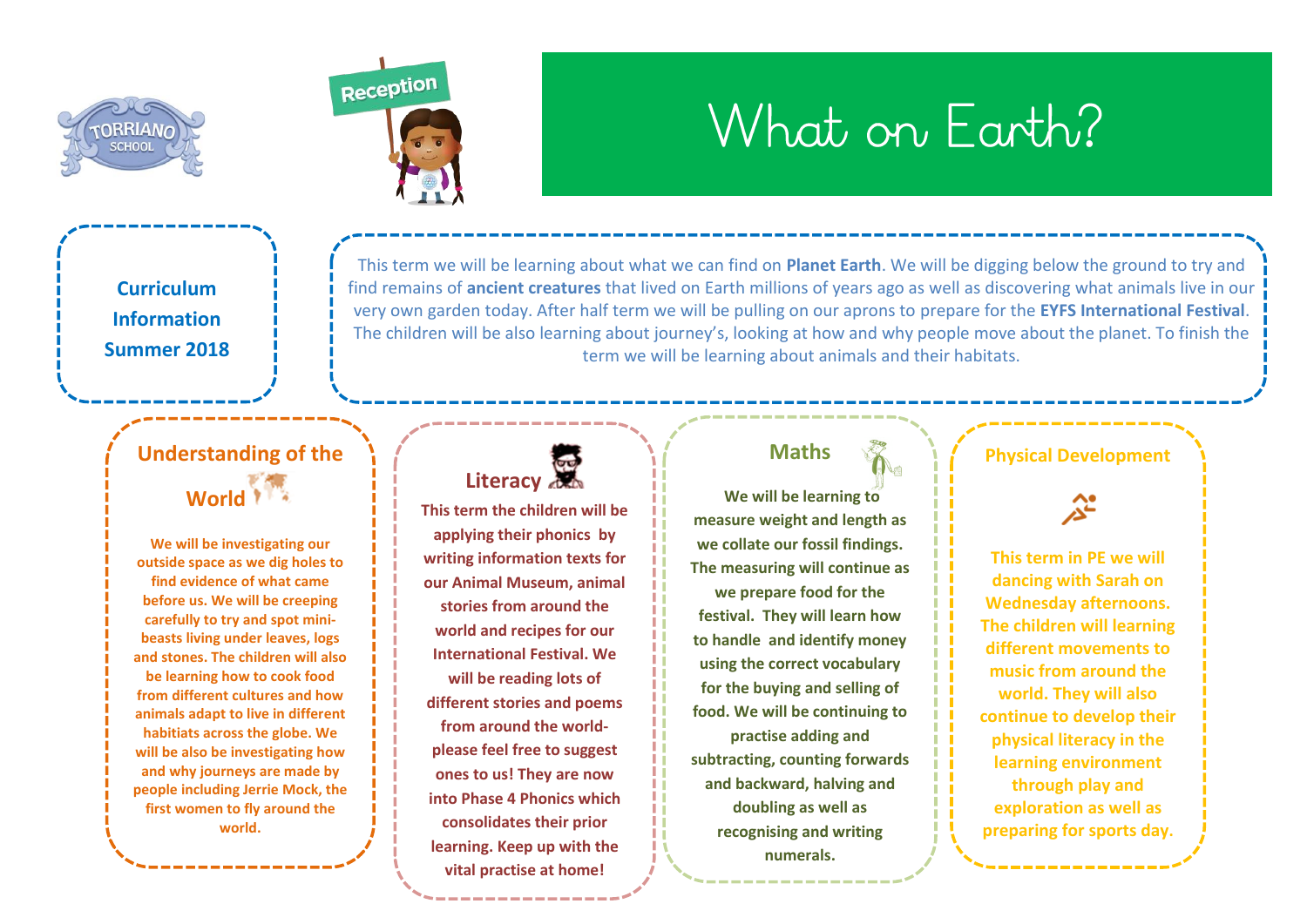



# What on Farth?

**Curriculum Information Summer 2018**

> **Understanding of the**  World<sup>1</sup>

> **We will be investigating our outside space as we dig holes to find evidence of what came before us. We will be creeping carefully to try and spot minibeasts living under leaves, logs and stones. The children will also be learning how to cook food from different cultures and how animals adapt to live in different habitiats across the globe. We will be also be investigating how and why journeys are made by people including Jerrie Mock, the first women to fly around the world.**

This term we will be learning about what we can find on **Planet Earth**. We will be digging below the ground to try and find remains of **ancient creatures** that lived on Earth millions of years ago as well as discovering what animals live in our very own garden today. After half term we will be pulling on our aprons to prepare for the **EYFS International Festival**. The children will be also learning about journey's, looking at how and why people move about the planet. To finish the term we will be learning about animals and their habitats.

# Literacy

**This term the children will be applying their phonics by writing information texts for our Animal Museum, animal stories from around the world and recipes for our International Festival. We will be reading lots of different stories and poems from around the worldplease feel free to suggest ones to us! They are now into Phase 4 Phonics which consolidates their prior learning. Keep up with the vital practise at home!** 

# **Maths**

**We will be learning to measure weight and length as we collate our fossil findings. The measuring will continue as we prepare food for the festival. They will learn how to handle and identify money using the correct vocabulary for the buying and selling of food. We will be continuing to practise adding and subtracting, counting forwards and backward, halving and doubling as well as recognising and writing numerals.** 

#### **Physical Development**

**This term in PE we will dancing with Sarah on Wednesday afternoons. The children will learning different movements to music from around the world. They will also continue to develop their physical literacy in the learning environment through play and exploration as well as preparing for sports day.**